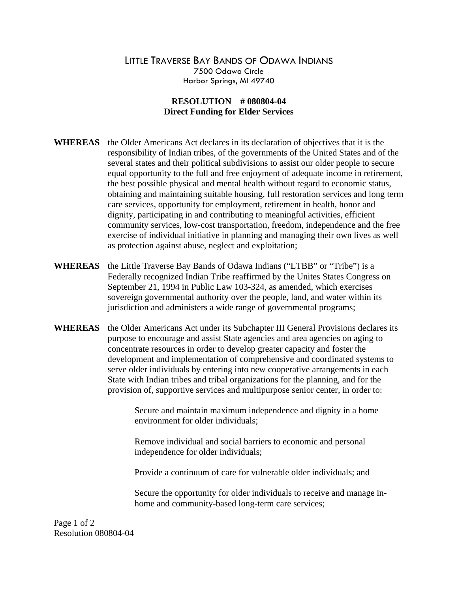## LITTLE TRAVERSE BAY BANDS OF ODAWA INDIANS 7500 Odawa Circle Harbor Springs, MI 49740

## **RESOLUTION # 080804-04 Direct Funding for Elder Services**

- **WHEREAS** the Older Americans Act declares in its declaration of objectives that it is the responsibility of Indian tribes, of the governments of the United States and of the several states and their political subdivisions to assist our older people to secure equal opportunity to the full and free enjoyment of adequate income in retirement, the best possible physical and mental health without regard to economic status, obtaining and maintaining suitable housing, full restoration services and long term care services, opportunity for employment, retirement in health, honor and dignity, participating in and contributing to meaningful activities, efficient community services, low-cost transportation, freedom, independence and the free exercise of individual initiative in planning and managing their own lives as well as protection against abuse, neglect and exploitation;
- **WHEREAS** the Little Traverse Bay Bands of Odawa Indians ("LTBB" or "Tribe") is a Federally recognized Indian Tribe reaffirmed by the Unites States Congress on September 21, 1994 in Public Law 103-324, as amended, which exercises sovereign governmental authority over the people, land, and water within its jurisdiction and administers a wide range of governmental programs;
- **WHEREAS** the Older Americans Act under its Subchapter III General Provisions declares its purpose to encourage and assist State agencies and area agencies on aging to concentrate resources in order to develop greater capacity and foster the development and implementation of comprehensive and coordinated systems to serve older individuals by entering into new cooperative arrangements in each State with Indian tribes and tribal organizations for the planning, and for the provision of, supportive services and multipurpose senior center, in order to:

Secure and maintain maximum independence and dignity in a home environment for older individuals;

Remove individual and social barriers to economic and personal independence for older individuals;

Provide a continuum of care for vulnerable older individuals; and

Secure the opportunity for older individuals to receive and manage inhome and community-based long-term care services;

Page 1 of 2 Resolution 080804-04